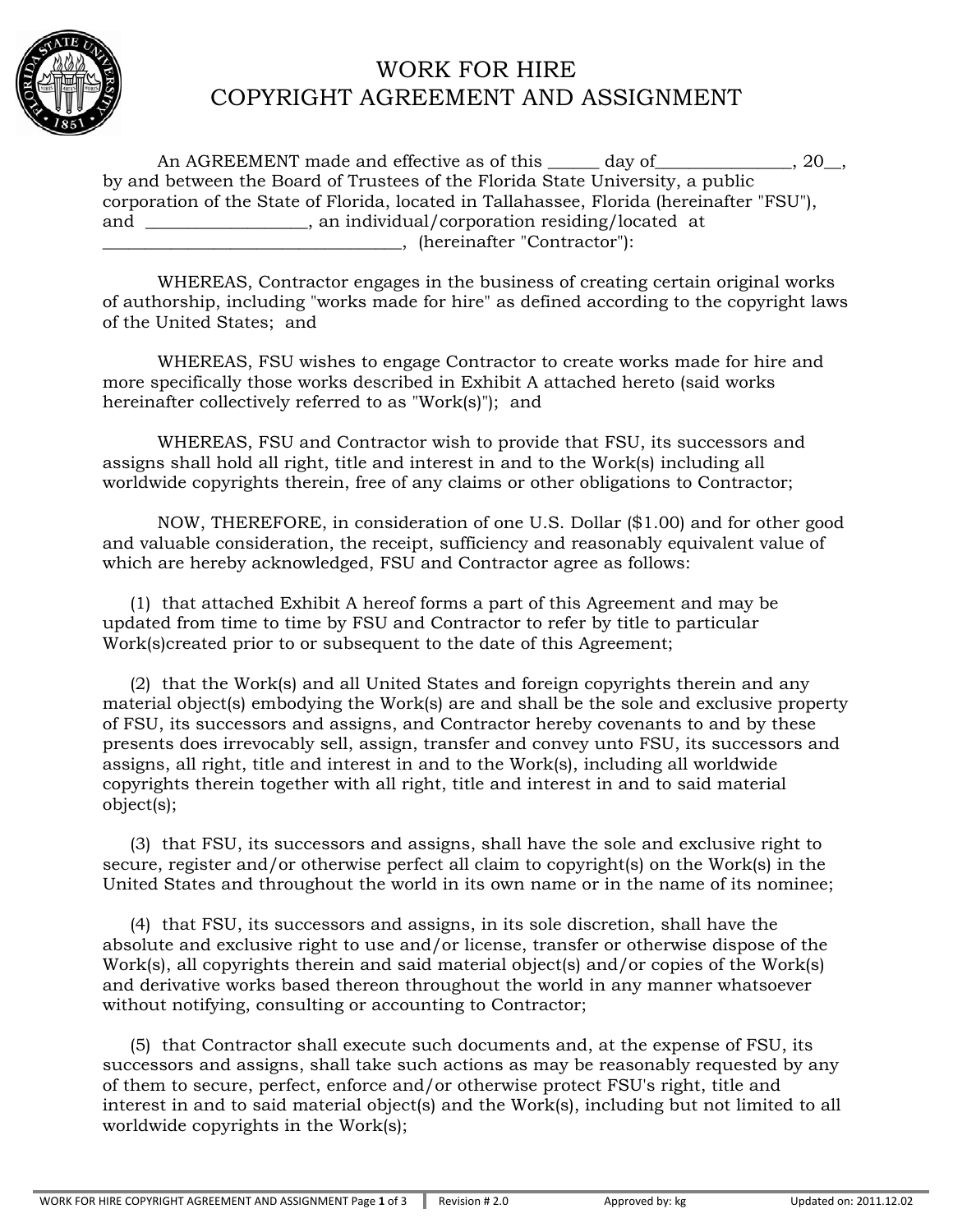

## WORK FOR HIRE COPYRIGHT AGREEMENT AND ASSIGNMENT

An AGREEMENT made and effective as of this \_\_\_\_\_\_ day of \_\_\_\_\_\_\_\_\_\_\_\_\_\_, 20\_\_, by and between the Board of Trustees of the Florida State University, a public corporation of the State of Florida, located in Tallahassee, Florida (hereinafter "FSU"), and \_\_\_\_\_\_\_\_\_\_\_\_\_\_\_\_\_\_\_, an individual/corporation residing/located at \_\_\_\_\_\_\_\_\_\_\_\_\_\_\_\_\_\_\_\_\_\_\_\_\_\_\_\_\_\_\_\_\_\_\_, (hereinafter "Contractor"):

 WHEREAS, Contractor engages in the business of creating certain original works of authorship, including "works made for hire" as defined according to the copyright laws of the United States; and

 WHEREAS, FSU wishes to engage Contractor to create works made for hire and more specifically those works described in Exhibit A attached hereto (said works hereinafter collectively referred to as "Work(s)"); and

 WHEREAS, FSU and Contractor wish to provide that FSU, its successors and assigns shall hold all right, title and interest in and to the Work(s) including all worldwide copyrights therein, free of any claims or other obligations to Contractor;

 NOW, THEREFORE, in consideration of one U.S. Dollar (\$1.00) and for other good and valuable consideration, the receipt, sufficiency and reasonably equivalent value of which are hereby acknowledged, FSU and Contractor agree as follows:

 (1) that attached Exhibit A hereof forms a part of this Agreement and may be updated from time to time by FSU and Contractor to refer by title to particular Work(s)created prior to or subsequent to the date of this Agreement;

 (2) that the Work(s) and all United States and foreign copyrights therein and any material object(s) embodying the Work(s) are and shall be the sole and exclusive property of FSU, its successors and assigns, and Contractor hereby covenants to and by these presents does irrevocably sell, assign, transfer and convey unto FSU, its successors and assigns, all right, title and interest in and to the Work(s), including all worldwide copyrights therein together with all right, title and interest in and to said material object(s);

 (3) that FSU, its successors and assigns, shall have the sole and exclusive right to secure, register and/or otherwise perfect all claim to copyright(s) on the Work(s) in the United States and throughout the world in its own name or in the name of its nominee;

 (4) that FSU, its successors and assigns, in its sole discretion, shall have the absolute and exclusive right to use and/or license, transfer or otherwise dispose of the Work(s), all copyrights therein and said material object(s) and/or copies of the Work(s) and derivative works based thereon throughout the world in any manner whatsoever without notifying, consulting or accounting to Contractor;

 (5) that Contractor shall execute such documents and, at the expense of FSU, its successors and assigns, shall take such actions as may be reasonably requested by any of them to secure, perfect, enforce and/or otherwise protect FSU's right, title and interest in and to said material object(s) and the Work(s), including but not limited to all worldwide copyrights in the Work(s);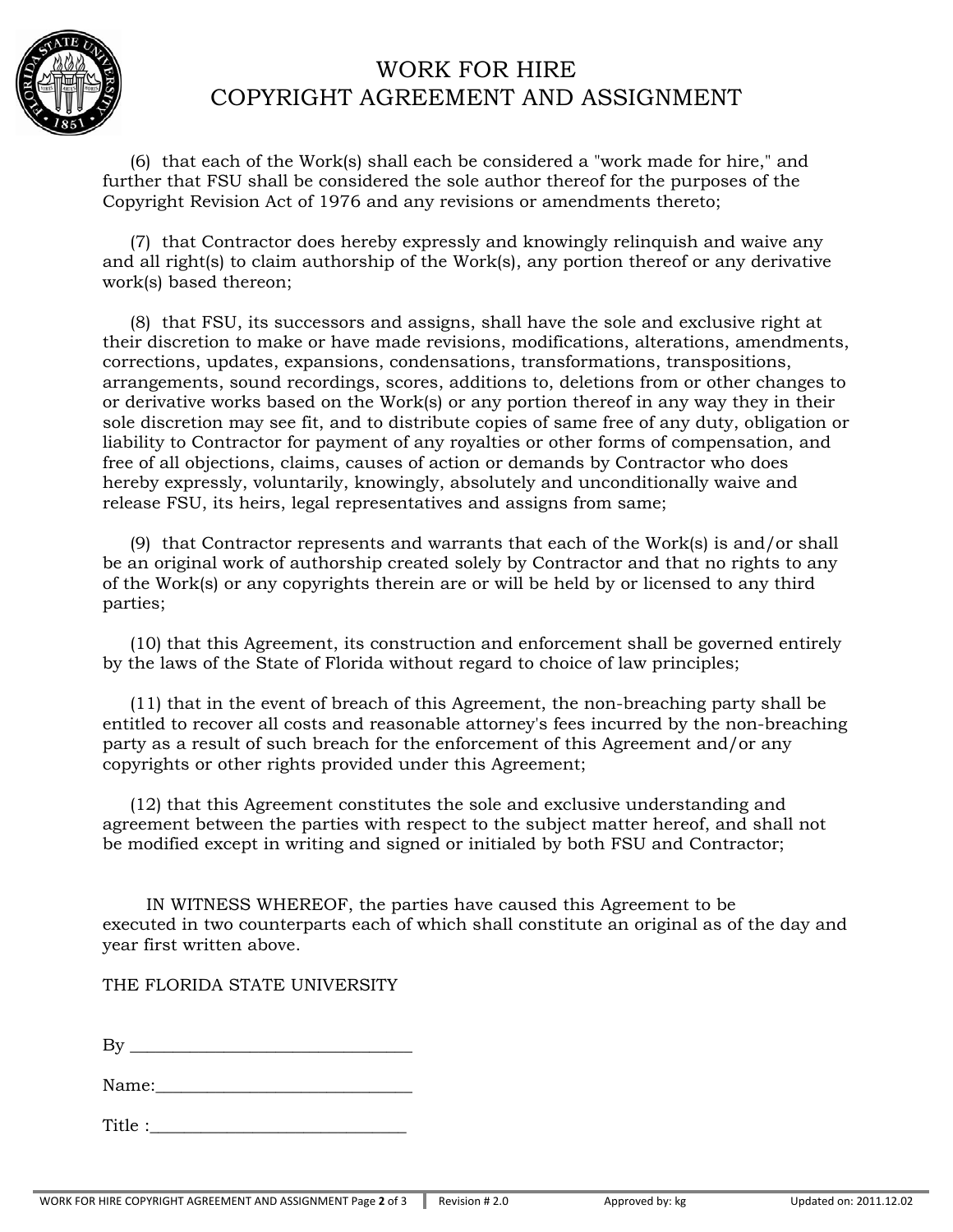

## WORK FOR HIRE COPYRIGHT AGREEMENT AND ASSIGNMENT

 (6) that each of the Work(s) shall each be considered a "work made for hire," and further that FSU shall be considered the sole author thereof for the purposes of the Copyright Revision Act of 1976 and any revisions or amendments thereto;

 (7) that Contractor does hereby expressly and knowingly relinquish and waive any and all right(s) to claim authorship of the Work(s), any portion thereof or any derivative work(s) based thereon;

 (8) that FSU, its successors and assigns, shall have the sole and exclusive right at their discretion to make or have made revisions, modifications, alterations, amendments, corrections, updates, expansions, condensations, transformations, transpositions, arrangements, sound recordings, scores, additions to, deletions from or other changes to or derivative works based on the Work(s) or any portion thereof in any way they in their sole discretion may see fit, and to distribute copies of same free of any duty, obligation or liability to Contractor for payment of any royalties or other forms of compensation, and free of all objections, claims, causes of action or demands by Contractor who does hereby expressly, voluntarily, knowingly, absolutely and unconditionally waive and release FSU, its heirs, legal representatives and assigns from same;

 (9) that Contractor represents and warrants that each of the Work(s) is and/or shall be an original work of authorship created solely by Contractor and that no rights to any of the Work(s) or any copyrights therein are or will be held by or licensed to any third parties;

 (10) that this Agreement, its construction and enforcement shall be governed entirely by the laws of the State of Florida without regard to choice of law principles;

 (11) that in the event of breach of this Agreement, the non-breaching party shall be entitled to recover all costs and reasonable attorney's fees incurred by the non-breaching party as a result of such breach for the enforcement of this Agreement and/or any copyrights or other rights provided under this Agreement;

 (12) that this Agreement constitutes the sole and exclusive understanding and agreement between the parties with respect to the subject matter hereof, and shall not be modified except in writing and signed or initialed by both FSU and Contractor;

 IN WITNESS WHEREOF, the parties have caused this Agreement to be executed in two counterparts each of which shall constitute an original as of the day and year first written above.

THE FLORIDA STATE UNIVERSITY

 $\rm\,By$   $\rm\,$ 

Name:

Title :